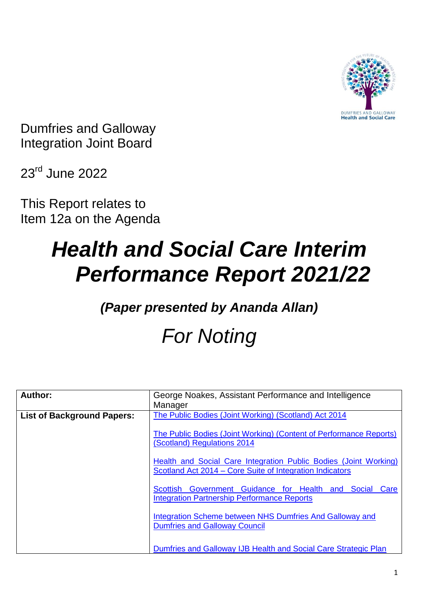

Dumfries and Galloway Integration Joint Board

23rd June 2022

This Report relates to Item 12a on the Agenda

# *Health and Social Care Interim Performance Report 2021/22*

### *(Paper presented by Ananda Allan)*

## *For Noting*

| Author:                           | George Noakes, Assistant Performance and Intelligence<br>Manager                                                             |
|-----------------------------------|------------------------------------------------------------------------------------------------------------------------------|
| <b>List of Background Papers:</b> | The Public Bodies (Joint Working) (Scotland) Act 2014                                                                        |
|                                   | The Public Bodies (Joint Working) (Content of Performance Reports)<br>(Scotland) Regulations 2014                            |
|                                   | Health and Social Care Integration Public Bodies (Joint Working)<br>Scotland Act 2014 – Core Suite of Integration Indicators |
|                                   | Scottish Government Guidance for Health and Social Care<br><b>Integration Partnership Performance Reports</b>                |
|                                   | Integration Scheme between NHS Dumfries And Galloway and<br><b>Dumfries and Galloway Council</b>                             |
|                                   | Dumfries and Galloway IJB Health and Social Care Strategic Plan                                                              |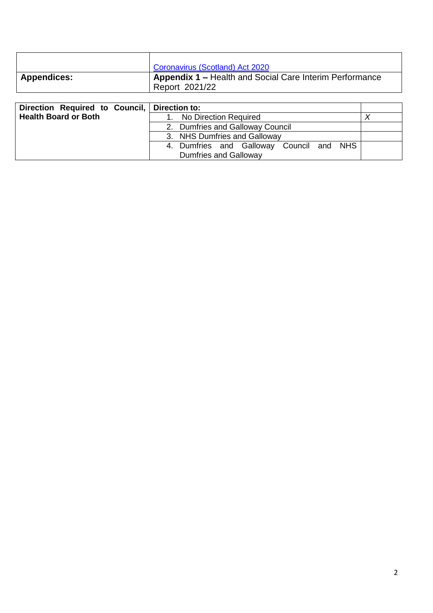|                    | Coronavirus (Scotland) Act 2020                                                  |
|--------------------|----------------------------------------------------------------------------------|
| <b>Appendices:</b> | <b>Appendix 1 – Health and Social Care Interim Performance</b><br>Report 2021/22 |

| Direction Required to Council, Direction to: |                                          |  |
|----------------------------------------------|------------------------------------------|--|
| <b>Health Board or Both</b>                  | No Direction Required                    |  |
|                                              | 2. Dumfries and Galloway Council         |  |
|                                              | 3. NHS Dumfries and Galloway             |  |
|                                              | 4. Dumfries and Galloway Council and NHS |  |
|                                              | <b>Dumfries and Galloway</b>             |  |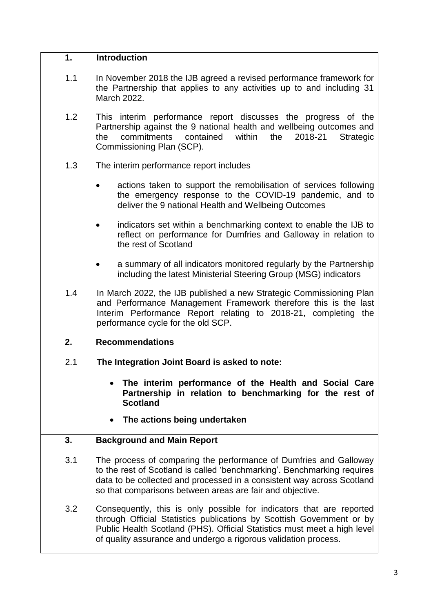#### **1. Introduction**

- 1.1 In November 2018 the IJB agreed a revised performance framework for the Partnership that applies to any activities up to and including 31 March 2022.
- 1.2 This interim performance report discusses the progress of the Partnership against the 9 national health and wellbeing outcomes and the commitments contained within the 2018-21 Strategic Commissioning Plan (SCP).
- 1.3 The interim performance report includes
	- actions taken to support the remobilisation of services following the emergency response to the COVID-19 pandemic, and to deliver the 9 national Health and Wellbeing Outcomes
	- indicators set within a benchmarking context to enable the IJB to reflect on performance for Dumfries and Galloway in relation to the rest of Scotland
	- a summary of all indicators monitored regularly by the Partnership including the latest Ministerial Steering Group (MSG) indicators
- 1.4 In March 2022, the IJB published a new Strategic Commissioning Plan and Performance Management Framework therefore this is the last Interim Performance Report relating to 2018-21, completing the performance cycle for the old SCP.

#### **2. Recommendations**

- 2.1 **The Integration Joint Board is asked to note:**
	- **The interim performance of the Health and Social Care Partnership in relation to benchmarking for the rest of Scotland**
	- **The actions being undertaken**

#### **3. Background and Main Report**

- 3.1 The process of comparing the performance of Dumfries and Galloway to the rest of Scotland is called 'benchmarking'. Benchmarking requires data to be collected and processed in a consistent way across Scotland so that comparisons between areas are fair and objective.
- 3.2 Consequently, this is only possible for indicators that are reported through Official Statistics publications by Scottish Government or by Public Health Scotland (PHS). Official Statistics must meet a high level of quality assurance and undergo a rigorous validation process.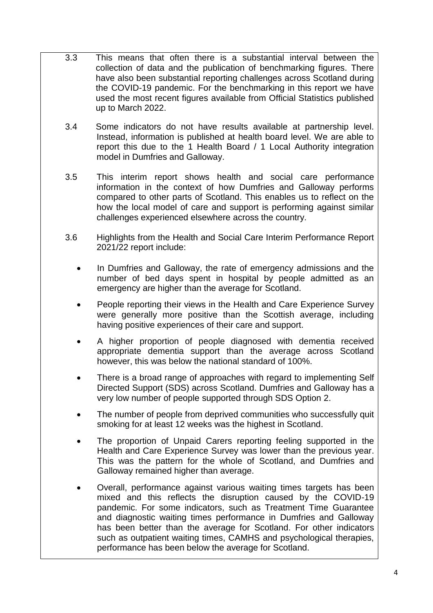- 3.3 This means that often there is a substantial interval between the collection of data and the publication of benchmarking figures. There have also been substantial reporting challenges across Scotland during the COVID-19 pandemic. For the benchmarking in this report we have used the most recent figures available from Official Statistics published up to March 2022.
- 3.4 Some indicators do not have results available at partnership level. Instead, information is published at health board level. We are able to report this due to the 1 Health Board / 1 Local Authority integration model in Dumfries and Galloway.
- 3.5 This interim report shows health and social care performance information in the context of how Dumfries and Galloway performs compared to other parts of Scotland. This enables us to reflect on the how the local model of care and support is performing against similar challenges experienced elsewhere across the country.
- 3.6 Highlights from the Health and Social Care Interim Performance Report 2021/22 report include:
	- In Dumfries and Galloway, the rate of emergency admissions and the number of bed days spent in hospital by people admitted as an emergency are higher than the average for Scotland.
	- People reporting their views in the Health and Care Experience Survey were generally more positive than the Scottish average, including having positive experiences of their care and support.
	- A higher proportion of people diagnosed with dementia received appropriate dementia support than the average across Scotland however, this was below the national standard of 100%.
	- There is a broad range of approaches with regard to implementing Self Directed Support (SDS) across Scotland. Dumfries and Galloway has a very low number of people supported through SDS Option 2.
	- The number of people from deprived communities who successfully quit smoking for at least 12 weeks was the highest in Scotland.
	- The proportion of Unpaid Carers reporting feeling supported in the Health and Care Experience Survey was lower than the previous year. This was the pattern for the whole of Scotland, and Dumfries and Galloway remained higher than average.
	- Overall, performance against various waiting times targets has been mixed and this reflects the disruption caused by the COVID-19 pandemic. For some indicators, such as Treatment Time Guarantee and diagnostic waiting times performance in Dumfries and Galloway has been better than the average for Scotland. For other indicators such as outpatient waiting times, CAMHS and psychological therapies, performance has been below the average for Scotland.